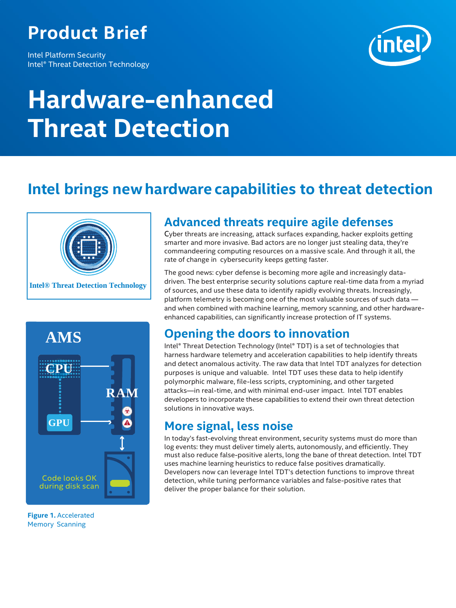# **Product Brief**

Intel Platform Security Intel® Threat Detection Technology



# **Hardware-enhanced Threat Detection**

## **Intel brings newhardware capabilities to threat detection**





**Figure 1.** Accelerated Memory Scanning

### **Advanced threats require agile defenses**

Cyber threats are increasing, attack surfaces expanding, hacker exploits getting smarter and more invasive. Bad actors are no longer just stealing data, they're commandeering computing resources on a massive scale. And through it all, the rate of change in cybersecurity keeps getting faster.

The good news: cyber defense is becoming more agile and increasingly datadriven. The best enterprise security solutions capture real-time data from a myriad of sources, and use these data to identify rapidly evolving threats. Increasingly, platform telemetry is becoming one of the most valuable sources of such data and when combined with machine learning, memory scanning, and other hardwareenhanced capabilities, can significantly increase protection of IT systems.

#### **Opening the doors to innovation**

Intel® Threat Detection Technology (Intel® TDT) is a set of technologies that harness hardware telemetry and acceleration capabilities to help identify threats and detect anomalous activity. The raw data that Intel TDT analyzes for detection purposes is unique and valuable. Intel TDT uses these data to help identify polymorphic malware, file-less scripts, cryptomining, and other targeted attacks—in real-time, and with minimal end-user impact. Intel TDT enables developers to incorporate these capabilities to extend their own threat detection solutions in innovative ways.

#### **More signal, less noise**

In today's fast-evolving threat environment, security systems must do more than log events: they must deliver timely alerts, autonomously, and efficiently. They must also reduce false-positive alerts, long the bane of threat detection. Intel TDT uses machine learning heuristics to reduce false positives dramatically. Developers now can leverage Intel TDT's detection functions to improve threat detection, while tuning performance variables and false-positive rates that deliver the proper balance for their solution.